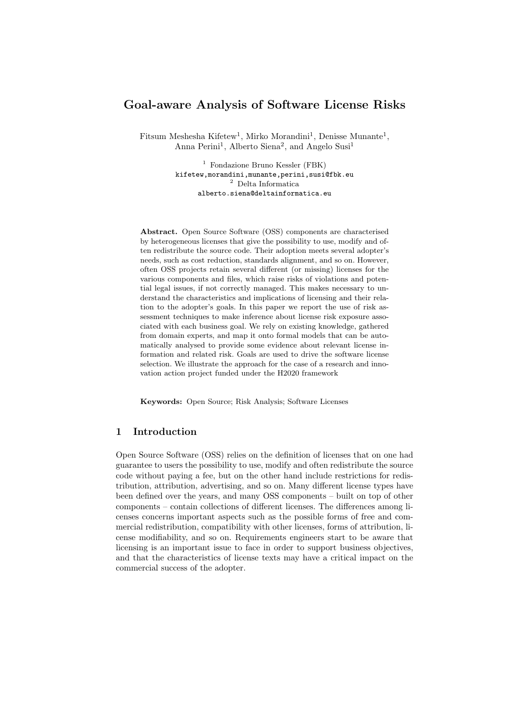# Goal-aware Analysis of Software License Risks

Fitsum Meshesha Kifetew<sup>1</sup>, Mirko Morandini<sup>1</sup>, Denisse Munante<sup>1</sup>, Anna Perini<sup>1</sup>, Alberto Siena<sup>2</sup>, and Angelo Susi<sup>1</sup>

> <sup>1</sup> Fondazione Bruno Kessler (FBK) kifetew,morandini,munante,perini,susi@fbk.eu <sup>2</sup> Delta Informatica alberto.siena@deltainformatica.eu

Abstract. Open Source Software (OSS) components are characterised by heterogeneous licenses that give the possibility to use, modify and often redistribute the source code. Their adoption meets several adopter's needs, such as cost reduction, standards alignment, and so on. However, often OSS projects retain several different (or missing) licenses for the various components and files, which raise risks of violations and potential legal issues, if not correctly managed. This makes necessary to understand the characteristics and implications of licensing and their relation to the adopter's goals. In this paper we report the use of risk assessment techniques to make inference about license risk exposure associated with each business goal. We rely on existing knowledge, gathered from domain experts, and map it onto formal models that can be automatically analysed to provide some evidence about relevant license information and related risk. Goals are used to drive the software license selection. We illustrate the approach for the case of a research and innovation action project funded under the H2020 framework

Keywords: Open Source; Risk Analysis; Software Licenses

## 1 Introduction

Open Source Software (OSS) relies on the definition of licenses that on one had guarantee to users the possibility to use, modify and often redistribute the source code without paying a fee, but on the other hand include restrictions for redistribution, attribution, advertising, and so on. Many different license types have been defined over the years, and many OSS components – built on top of other components – contain collections of different licenses. The differences among licenses concerns important aspects such as the possible forms of free and commercial redistribution, compatibility with other licenses, forms of attribution, license modifiability, and so on. Requirements engineers start to be aware that licensing is an important issue to face in order to support business objectives, and that the characteristics of license texts may have a critical impact on the commercial success of the adopter.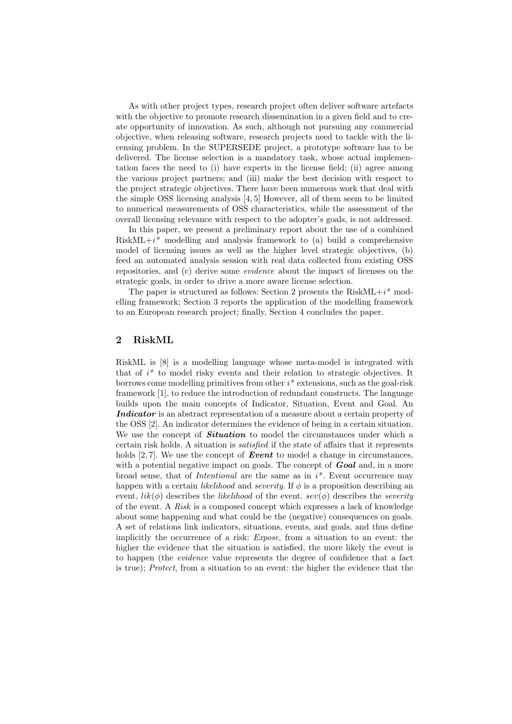As with other project types, research project often deliver software artefacts with the objective to promote research dissemination in a given field and to create opportunity of innovation. As such, although not pursuing any commercial objective, when releasing software, research projects need to tackle with the licensing problem. In the SUPERSEDE project, a prototype software has to be delivered. The license selection is a mandatory task, whose actual implementation faces the need to (i) have experts in the license field; (ii) agree among the various project partners; and (iii) make the best decision with respect to the project strategic objectives. There have been numerous work that deal with the simple OSS licensing analysis [4, 5] However, all of them seem to be limited to numerical measurements of OSS characteristics, while the assessment of the overall licensing relevance with respect to the adopter's goals, is not addressed.

In this paper, we present a preliminary report about the use of a combined  $RiskML+i^*$  modelling and analysis framework to (a) build a comprehensive model of licensing issues as well as the higher level strategic objectives, (b) feed an automated analysis session with real data collected from existing OSS repositories, and (c) derive some evidence about the impact of licenses on the strategic goals, in order to drive a more aware license selection.

The paper is structured as follows: Section 2 presents the Risk $ML+i^*$  modelling framework; Section 3 reports the application of the modelling framework to an European research project; finally, Section 4 concludes the paper.

## 2 RiskML

RiskML is [8] is a modelling language whose meta-model is integrated with that of  $i^*$  to model risky events and their relation to strategic objectives. It borrows come modelling primitives from other  $i^*$  extensions, such as the goal-risk framework [1], to reduce the introduction of redundant constructs. The language builds upon the main concepts of Indicator, Situation, Event and Goal. An Indicator is an abstract representation of a measure about a certain property of the OSS [2]. An indicator determines the evidence of being in a certain situation. We use the concept of **Situation** to model the circumstances under which a certain risk holds. A situation is satisfied if the state of affairs that it represents holds  $[2, 7]$ . We use the concept of **Event** to model a change in circumstances, with a potential negative impact on goals. The concept of  $Goal$  and, in a more broad sense, that of *Intentional* are the same as in  $i^*$ . Event occurrence may happen with a certain *likelihood* and *severity*. If  $\phi$  is a proposition describing an event,  $lik(\phi)$  describes the *likelihood* of the event.  $sev(\phi)$  describes the *severity* of the event. A Risk is a composed concept which expresses a lack of knowledge about some happening and what could be the (negative) consequences on goals. A set of relations link indicators, situations, events, and goals, and thus define implicitly the occurrence of a risk: Expose, from a situation to an event: the higher the evidence that the situation is satisfied, the more likely the event is to happen (the evidence value represents the degree of confidence that a fact is true); Protect, from a situation to an event: the higher the evidence that the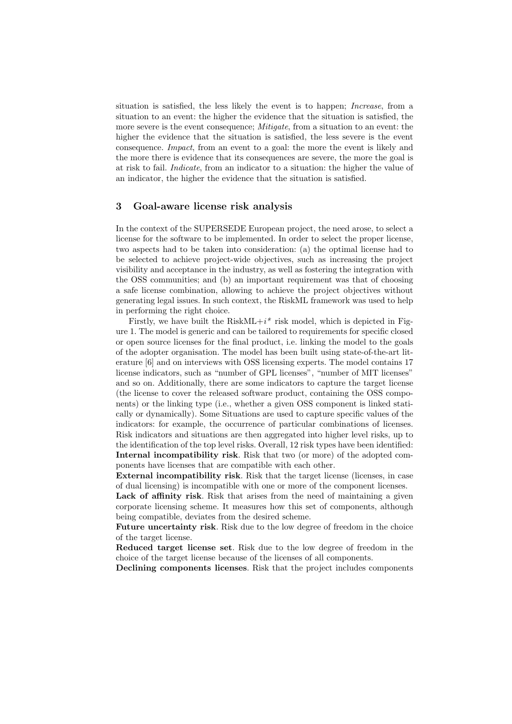situation is satisfied, the less likely the event is to happen; *Increase*, from a situation to an event: the higher the evidence that the situation is satisfied, the more severe is the event consequence; *Mitigate*, from a situation to an event: the higher the evidence that the situation is satisfied, the less severe is the event consequence. Impact, from an event to a goal: the more the event is likely and the more there is evidence that its consequences are severe, the more the goal is at risk to fail. Indicate, from an indicator to a situation: the higher the value of an indicator, the higher the evidence that the situation is satisfied.

#### 3 Goal-aware license risk analysis

In the context of the SUPERSEDE European project, the need arose, to select a license for the software to be implemented. In order to select the proper license, two aspects had to be taken into consideration: (a) the optimal license had to be selected to achieve project-wide objectives, such as increasing the project visibility and acceptance in the industry, as well as fostering the integration with the OSS communities; and (b) an important requirement was that of choosing a safe license combination, allowing to achieve the project objectives without generating legal issues. In such context, the RiskML framework was used to help in performing the right choice.

Firstly, we have built the Risk $ML+i^*$  risk model, which is depicted in Figure 1. The model is generic and can be tailored to requirements for specific closed or open source licenses for the final product, i.e. linking the model to the goals of the adopter organisation. The model has been built using state-of-the-art literature [6] and on interviews with OSS licensing experts. The model contains 17 license indicators, such as "number of GPL licenses", "number of MIT licenses" and so on. Additionally, there are some indicators to capture the target license (the license to cover the released software product, containing the OSS components) or the linking type (i.e., whether a given OSS component is linked statically or dynamically). Some Situations are used to capture specific values of the indicators: for example, the occurrence of particular combinations of licenses. Risk indicators and situations are then aggregated into higher level risks, up to the identification of the top level risks. Overall, 12 risk types have been identified: Internal incompatibility risk. Risk that two (or more) of the adopted components have licenses that are compatible with each other.

External incompatibility risk. Risk that the target license (licenses, in case of dual licensing) is incompatible with one or more of the component licenses.

Lack of affinity risk. Risk that arises from the need of maintaining a given corporate licensing scheme. It measures how this set of components, although being compatible, deviates from the desired scheme.

Future uncertainty risk. Risk due to the low degree of freedom in the choice of the target license.

Reduced target license set. Risk due to the low degree of freedom in the choice of the target license because of the licenses of all components.

Declining components licenses. Risk that the project includes components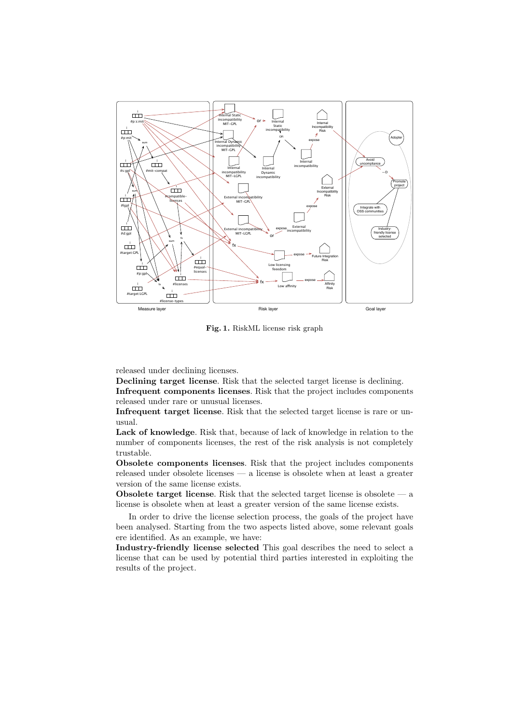

Fig. 1. RiskML license risk graph

released under declining licenses.

Declining target license. Risk that the selected target license is declining.

Infrequent components licenses. Risk that the project includes components released under rare or unusual licenses.

Infrequent target license. Risk that the selected target license is rare or unusual.

Lack of knowledge. Risk that, because of lack of knowledge in relation to the number of components licenses, the rest of the risk analysis is not completely trustable.

Obsolete components licenses. Risk that the project includes components released under obsolete licenses — a license is obsolete when at least a greater version of the same license exists.

Obsolete target license. Risk that the selected target license is obsolete — a license is obsolete when at least a greater version of the same license exists.

In order to drive the license selection process, the goals of the project have been analysed. Starting from the two aspects listed above, some relevant goals ere identified. As an example, we have:

Industry-friendly license selected This goal describes the need to select a license that can be used by potential third parties interested in exploiting the results of the project.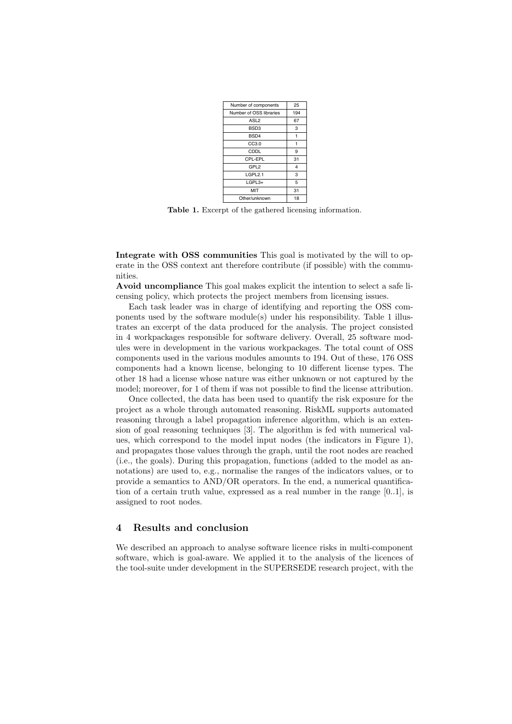| Number of components    | 25             |
|-------------------------|----------------|
| Number of OSS libraries | 194            |
| ASL <sub>2</sub>        | 67             |
| BSD <sub>3</sub>        | 3              |
| BSD <sub>4</sub>        | 1              |
| CC3.0                   | 1              |
| CDDL                    | 9              |
| CPL-EPL                 | 31             |
| GPL <sub>2</sub>        | $\overline{4}$ |
| LGPL2.1                 | 3              |
| LGPL3+                  | 5              |
| MIT                     | 31             |
| Other/unknown           | 18             |

Table 1. Excerpt of the gathered licensing information.

Integrate with OSS communities This goal is motivated by the will to operate in the OSS context ant therefore contribute (if possible) with the communities.

Avoid uncompliance This goal makes explicit the intention to select a safe licensing policy, which protects the project members from licensing issues.

Each task leader was in charge of identifying and reporting the OSS components used by the software module(s) under his responsibility. Table 1 illustrates an excerpt of the data produced for the analysis. The project consisted in 4 workpackages responsible for software delivery. Overall, 25 software modules were in development in the various workpackages. The total count of OSS components used in the various modules amounts to 194. Out of these, 176 OSS components had a known license, belonging to 10 different license types. The other 18 had a license whose nature was either unknown or not captured by the model; moreover, for 1 of them if was not possible to find the license attribution.

Once collected, the data has been used to quantify the risk exposure for the project as a whole through automated reasoning. RiskML supports automated reasoning through a label propagation inference algorithm, which is an extension of goal reasoning techniques [3]. The algorithm is fed with numerical values, which correspond to the model input nodes (the indicators in Figure 1), and propagates those values through the graph, until the root nodes are reached (i.e., the goals). During this propagation, functions (added to the model as annotations) are used to, e.g., normalise the ranges of the indicators values, or to provide a semantics to AND/OR operators. In the end, a numerical quantification of a certain truth value, expressed as a real number in the range [0..1], is assigned to root nodes.

### 4 Results and conclusion

We described an approach to analyse software licence risks in multi-component software, which is goal-aware. We applied it to the analysis of the licences of the tool-suite under development in the SUPERSEDE research project, with the